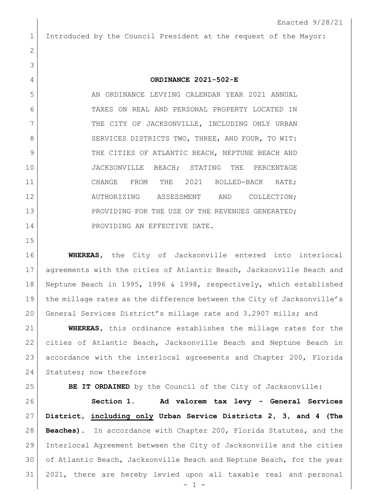Introduced by the Council President at the request of the Mayor:

## **ORDINANCE 2021-502-E**

5 AN ORDINANCE LEVYING CALENDAR YEAR 2021 ANNUAL TAXES ON REAL AND PERSONAL PROPERTY LOCATED IN 7 THE CITY OF JACKSONVILLE, INCLUDING ONLY URBAN 8 SERVICES DISTRICTS TWO, THREE, AND FOUR, TO WIT: 9 THE CITIES OF ATLANTIC BEACH, NEPTUNE BEACH AND JACKSONVILLE BEACH; STATING THE PERCENTAGE 11 CHANGE FROM THE 2021 ROLLED-BACK RATE; AUTHORIZING ASSESSMENT AND COLLECTION; 13 PROVIDING FOR THE USE OF THE REVENUES GENERATED; 14 PROVIDING AN EFFECTIVE DATE.

 **WHEREAS,** the City of Jacksonville entered into interlocal agreements with the cities of Atlantic Beach, Jacksonville Beach and Neptune Beach in 1995, 1996 & 1998, respectively, which established the millage rates as the difference between the City of Jacksonville's General Services District's millage rate and 3.2907 mills; and

 **WHEREAS,** this ordinance establishes the millage rates for the cities of Atlantic Beach, Jacksonville Beach and Neptune Beach in accordance with the interlocal agreements and Chapter 200, Florida 24 Statutes; now therefore

**BE IT ORDAINED** by the Council of the City of Jacksonville:

 **Section 1. Ad valorem tax levy - General Services District, including only Urban Service Districts 2, 3, and 4 (The Beaches).** In accordance with Chapter 200, Florida Statutes, and the Interlocal Agreement between the City of Jacksonville and the cities of Atlantic Beach, Jacksonville Beach and Neptune Beach, for the year 2021, there are hereby levied upon all taxable real and personal

- 1 -